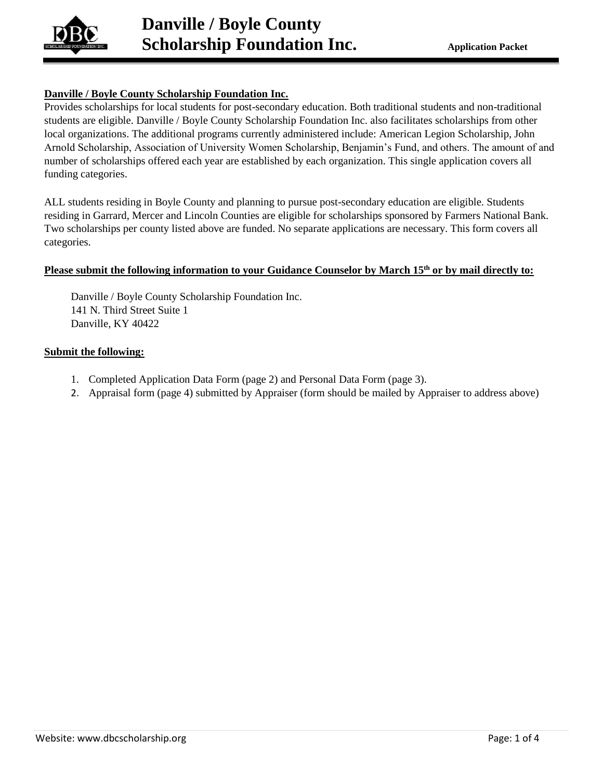

### **Danville / Boyle County Scholarship Foundation Inc.**

Provides scholarships for local students for post-secondary education. Both traditional students and non-traditional students are eligible. Danville / Boyle County Scholarship Foundation Inc. also facilitates scholarships from other local organizations. The additional programs currently administered include: American Legion Scholarship, John Arnold Scholarship, Association of University Women Scholarship, Benjamin's Fund, and others. The amount of and number of scholarships offered each year are established by each organization. This single application covers all funding categories.

ALL students residing in Boyle County and planning to pursue post-secondary education are eligible. Students residing in Garrard, Mercer and Lincoln Counties are eligible for scholarships sponsored by Farmers National Bank. Two scholarships per county listed above are funded. No separate applications are necessary. This form covers all categories.

### **Please submit the following information to your Guidance Counselor by March 15th or by mail directly to:**

Danville / Boyle County Scholarship Foundation Inc. 141 N. Third Street Suite 1 Danville, KY 40422

### **Submit the following:**

- 1. Completed Application Data Form (page 2) and Personal Data Form (page 3).
- 2. Appraisal form (page 4) submitted by Appraiser (form should be mailed by Appraiser to address above)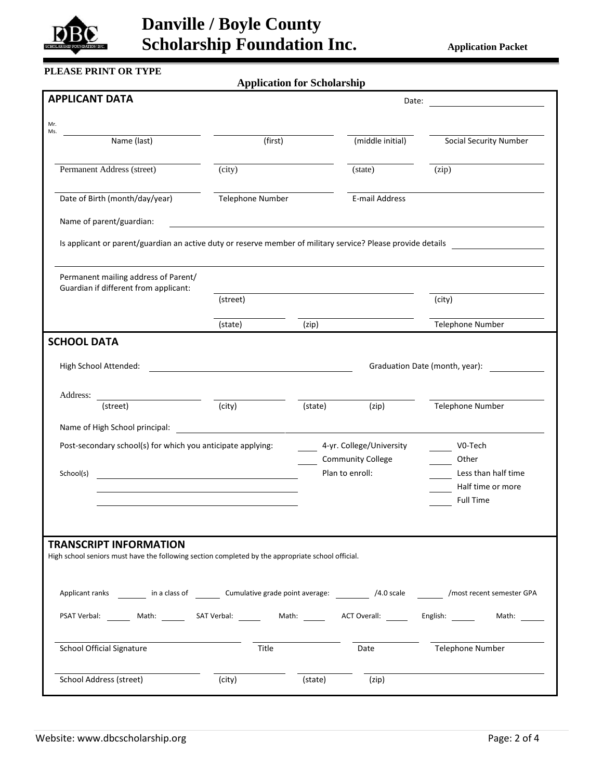

# **Danville / Boyle County Scholarship Foundation Inc.** Application Packet

## **PLEASE PRINT OR TYPE**

**Application for Scholarship**

| <b>APPLICANT DATA</b>                                                                                                                        |                                                                                                                      | Date:   |                                             |                                |
|----------------------------------------------------------------------------------------------------------------------------------------------|----------------------------------------------------------------------------------------------------------------------|---------|---------------------------------------------|--------------------------------|
| Mr.                                                                                                                                          |                                                                                                                      |         |                                             |                                |
| Ms.<br>Name (last)                                                                                                                           | (first)                                                                                                              |         | (middle initial)                            | <b>Social Security Number</b>  |
| Permanent Address (street)                                                                                                                   | (city)                                                                                                               |         | (state)                                     | (zip)                          |
| Date of Birth (month/day/year)                                                                                                               | Telephone Number                                                                                                     |         | E-mail Address                              |                                |
| Name of parent/guardian:                                                                                                                     |                                                                                                                      |         |                                             |                                |
| Is applicant or parent/guardian an active duty or reserve member of military service? Please provide details                                 |                                                                                                                      |         |                                             |                                |
| Permanent mailing address of Parent/<br>Guardian if different from applicant:                                                                |                                                                                                                      |         |                                             |                                |
|                                                                                                                                              | (street)                                                                                                             |         |                                             | (city)                         |
|                                                                                                                                              | (state)                                                                                                              | (zip)   |                                             | Telephone Number               |
| <b>SCHOOL DATA</b>                                                                                                                           |                                                                                                                      |         |                                             |                                |
| High School Attended:                                                                                                                        |                                                                                                                      |         |                                             | Graduation Date (month, year): |
| Address:<br>(street)                                                                                                                         | (city)                                                                                                               | (state) | (zip)                                       | Telephone Number               |
| Name of High School principal:                                                                                                               | <u> 1980 - Andrea State Barbara, amerikan personal di sebagai personal di sebagai personal di sebagai personal d</u> |         |                                             |                                |
| Post-secondary school(s) for which you anticipate applying:                                                                                  |                                                                                                                      |         | 4-yr. College/University                    | V0-Tech                        |
| School(s)                                                                                                                                    |                                                                                                                      |         | <b>Community College</b><br>Plan to enroll: | Other<br>Less than half time   |
| <u> 1989 - Johann Barbara, martxa alemaniar amerikan a</u>                                                                                   |                                                                                                                      |         |                                             | Half time or more              |
|                                                                                                                                              |                                                                                                                      |         |                                             | <b>Full Time</b>               |
|                                                                                                                                              |                                                                                                                      |         |                                             |                                |
| <b>TRANSCRIPT INFORMATION</b><br>High school seniors must have the following section completed by the appropriate school official.           |                                                                                                                      |         |                                             |                                |
| Applicant ranks _________ in a class of _________ Cumulative grade point average: ___________ /4.0 scale _________ /most recent semester GPA |                                                                                                                      |         |                                             |                                |
| PSAT Verbal: Math: SAT Verbal: Math: ACT Overall: English:                                                                                   |                                                                                                                      |         |                                             | Math:                          |
| <b>School Official Signature</b>                                                                                                             | Title                                                                                                                |         | Date                                        | Telephone Number               |
| School Address (street)                                                                                                                      | (city)                                                                                                               | (state) | (zip)                                       |                                |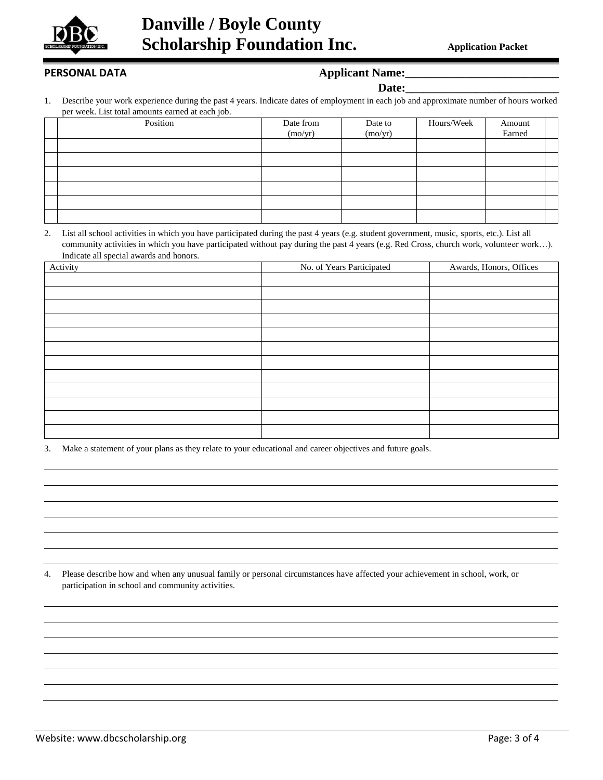

### PERSONAL DATA *Applicant Name:*

| l)o1<br>.ta•<br>г. |  |
|--------------------|--|
|                    |  |

1. Describe your work experience during the past 4 years. Indicate dates of employment in each job and approximate number of hours worked per week. List total amounts earned at each job.

| $\cdot$  |           |         |            |        |  |
|----------|-----------|---------|------------|--------|--|
| Position | Date from | Date to | Hours/Week | Amount |  |
|          | (mo/yr)   | (mo/yr) |            | Earned |  |
|          |           |         |            |        |  |
|          |           |         |            |        |  |
|          |           |         |            |        |  |
|          |           |         |            |        |  |
|          |           |         |            |        |  |
|          |           |         |            |        |  |

2. List all school activities in which you have participated during the past 4 years (e.g. student government, music, sports, etc.). List all community activities in which you have participated without pay during the past 4 years (e.g. Red Cross, church work, volunteer work…). Indicate all special awards and honors.

| Activity | No. of Years Participated | Awards, Honors, Offices |
|----------|---------------------------|-------------------------|
|          |                           |                         |
|          |                           |                         |
|          |                           |                         |
|          |                           |                         |
|          |                           |                         |
|          |                           |                         |
|          |                           |                         |
|          |                           |                         |
|          |                           |                         |
|          |                           |                         |
|          |                           |                         |
|          |                           |                         |

3. Make a statement of your plans as they relate to your educational and career objectives and future goals.

4. Please describe how and when any unusual family or personal circumstances have affected your achievement in school, work, or participation in school and community activities.